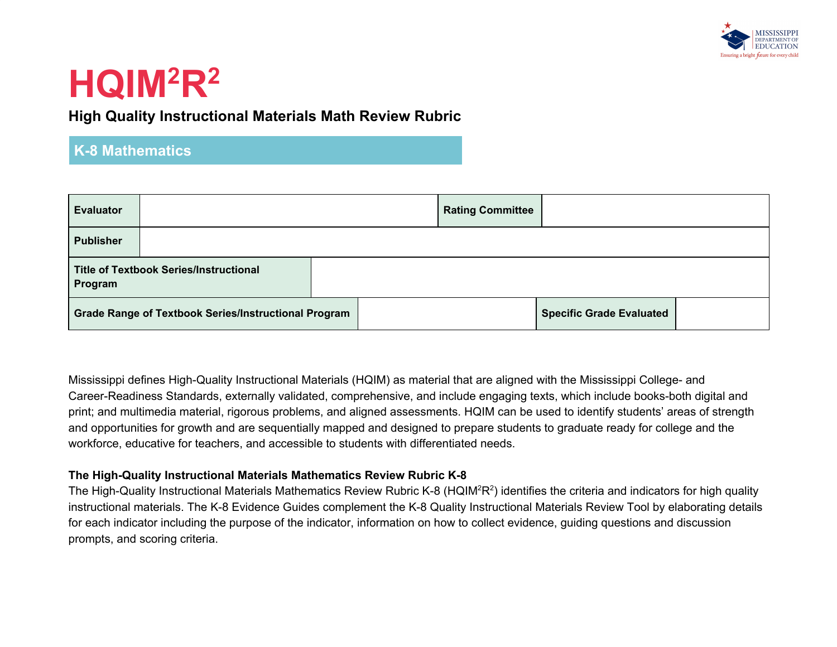

### **High Quality Instructional Materials Math Review Rubric**

### **K-8 Mathematics**

| <b>Evaluator</b> |                                                             | <b>Rating Committee</b> |                                 |  |
|------------------|-------------------------------------------------------------|-------------------------|---------------------------------|--|
| <b>Publisher</b> |                                                             |                         |                                 |  |
| Program          | <b>Title of Textbook Series/Instructional</b>               |                         |                                 |  |
|                  | <b>Grade Range of Textbook Series/Instructional Program</b> |                         | <b>Specific Grade Evaluated</b> |  |

Mississippi defines High-Quality Instructional Materials (HQIM) as material that are aligned with the Mississippi College- and Career-Readiness Standards, externally validated, comprehensive, and include engaging texts, which include books-both digital and print; and multimedia material, rigorous problems, and aligned assessments. HQIM can be used to identify students' areas of strength and opportunities for growth and are sequentially mapped and designed to prepare students to graduate ready for college and the workforce, educative for teachers, and accessible to students with differentiated needs.

#### **The High-Quality Instructional Materials Mathematics Review Rubric K-8**

The High-Quality Instructional Materials Mathematics Review Rubric K-8 (HQIM<sup>2</sup>R<sup>2</sup>) identifies the criteria and indicators for high quality instructional materials. The K-8 Evidence Guides complement the K-8 Quality Instructional Materials Review Tool by elaborating details for each indicator including the purpose of the indicator, information on how to collect evidence, guiding questions and discussion prompts, and scoring criteria.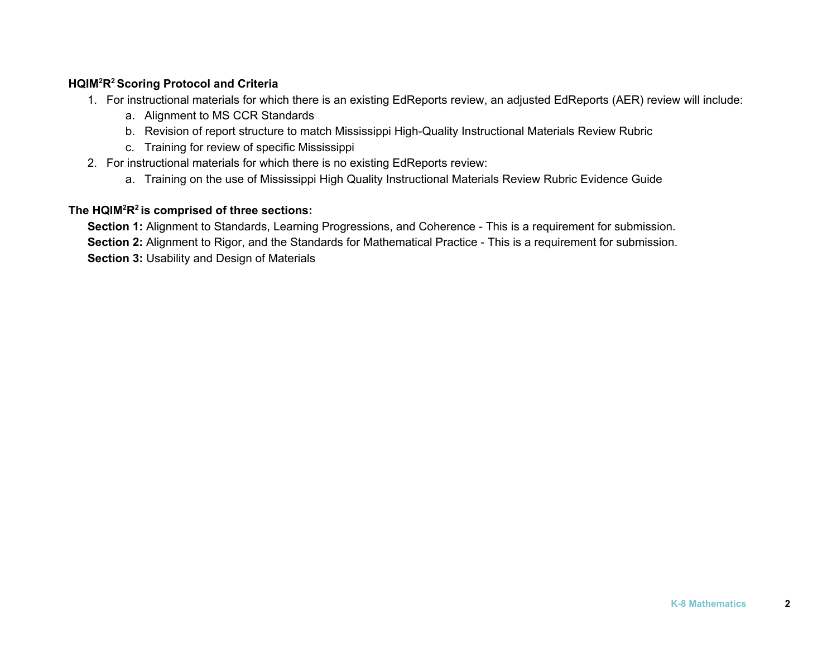### **HQIM<sup>2</sup>R <sup>2</sup> Scoring Protocol and Criteria**

- 1. For instructional materials for which there is an existing EdReports review, an adjusted EdReports (AER) review will include:
	- a. Alignment to MS CCR Standards
	- b. Revision of report structure to match Mississippi High-Quality Instructional Materials Review Rubric
	- c. Training for review of specific Mississippi
- 2. For instructional materials for which there is no existing EdReports review:
	- a. Training on the use of Mississippi High Quality Instructional Materials Review Rubric Evidence Guide

### **The HQIM<sup>2</sup>R 2 is comprised of three sections:**

**Section 1:** Alignment to Standards, Learning Progressions, and Coherence - This is a requirement for submission. **Section 2:** Alignment to Rigor, and the Standards for Mathematical Practice - This is a requirement for submission. **Section 3:** Usability and Design of Materials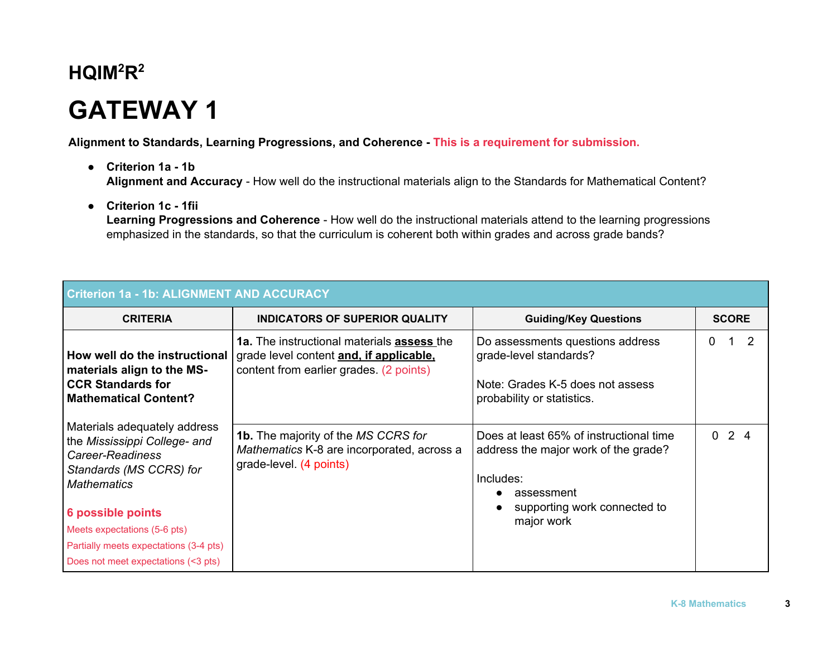# **GATEWAY 1**

**Alignment to Standards, Learning Progressions, and Coherence - This is a requirement for submission.**

- **● Criterion 1a - 1b Alignment and Accuracy** - How well do the instructional materials align to the Standards for Mathematical Content?
- **● Criterion 1c - 1fii**

**Learning Progressions and Coherence** - How well do the instructional materials attend to the learning progressions emphasized in the standards, so that the curriculum is coherent both within grades and across grade bands?

| <b>Criterion 1a - 1b: ALIGNMENT AND ACCURACY</b>                                                                                                                                                                                                                        |                                                                                                                                  |                                                                                                                                                          |              |  |  |  |
|-------------------------------------------------------------------------------------------------------------------------------------------------------------------------------------------------------------------------------------------------------------------------|----------------------------------------------------------------------------------------------------------------------------------|----------------------------------------------------------------------------------------------------------------------------------------------------------|--------------|--|--|--|
| <b>CRITERIA</b>                                                                                                                                                                                                                                                         | <b>INDICATORS OF SUPERIOR QUALITY</b>                                                                                            | <b>Guiding/Key Questions</b>                                                                                                                             | <b>SCORE</b> |  |  |  |
| How well do the instructional<br>materials align to the MS-<br><b>CCR Standards for</b><br><b>Mathematical Content?</b>                                                                                                                                                 | 1a. The instructional materials assess the<br>grade level content and, if applicable,<br>content from earlier grades. (2 points) | Do assessments questions address<br>grade-level standards?<br>Note: Grades K-5 does not assess<br>probability or statistics.                             | 2<br>0       |  |  |  |
| Materials adequately address<br>the Mississippi College- and<br>Career-Readiness<br>Standards (MS CCRS) for<br><b>Mathematics</b><br>6 possible points<br>Meets expectations (5-6 pts)<br>Partially meets expectations (3-4 pts)<br>Does not meet expectations (<3 pts) | <b>1b.</b> The majority of the MS CCRS for<br>Mathematics K-8 are incorporated, across a<br>grade-level. (4 points)              | Does at least 65% of instructional time<br>address the major work of the grade?<br>Includes:<br>assessment<br>supporting work connected to<br>major work | $0 \t2 \t4$  |  |  |  |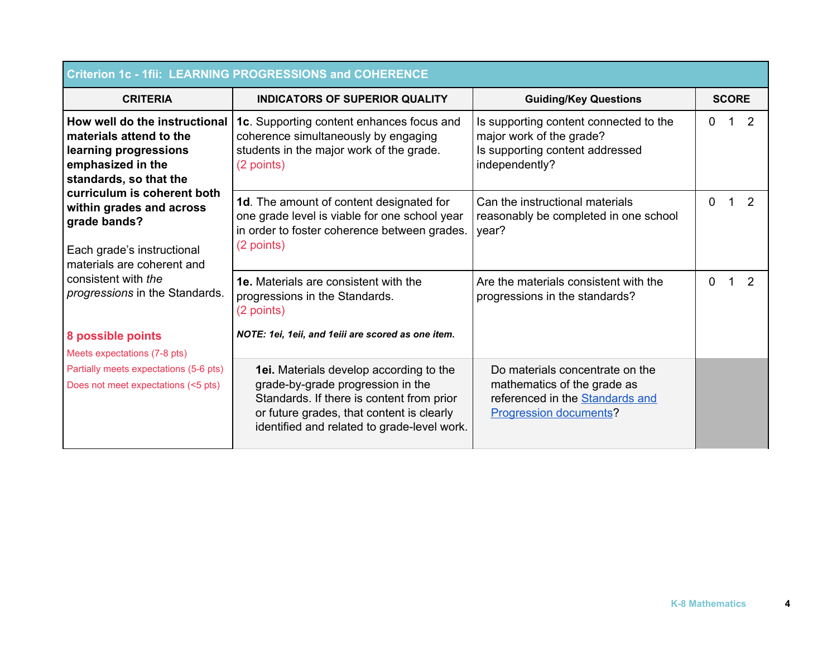| <b>Criterion 1c - 1fii: LEARNING PROGRESSIONS and COHERENCE</b>                                                                     |                                                                                                                                                                                                                              |                                                                                                                             |               |  |  |  |
|-------------------------------------------------------------------------------------------------------------------------------------|------------------------------------------------------------------------------------------------------------------------------------------------------------------------------------------------------------------------------|-----------------------------------------------------------------------------------------------------------------------------|---------------|--|--|--|
| <b>CRITERIA</b>                                                                                                                     | <b>INDICATORS OF SUPERIOR QUALITY</b>                                                                                                                                                                                        | <b>Guiding/Key Questions</b>                                                                                                | <b>SCORE</b>  |  |  |  |
| How well do the instructional<br>materials attend to the<br>learning progressions<br>emphasized in the<br>standards, so that the    | 1c. Supporting content enhances focus and<br>coherence simultaneously by engaging<br>students in the major work of the grade.<br>(2 points)                                                                                  | Is supporting content connected to the<br>major work of the grade?<br>Is supporting content addressed<br>independently?     | 2<br>0<br>1.  |  |  |  |
| curriculum is coherent both<br>within grades and across<br>grade bands?<br>Each grade's instructional<br>materials are coherent and | <b>1d.</b> The amount of content designated for<br>one grade level is viable for one school year<br>in order to foster coherence between grades.<br>(2 points)                                                               | Can the instructional materials<br>reasonably be completed in one school<br>year?                                           | 2<br>0        |  |  |  |
| consistent with the<br>progressions in the Standards.                                                                               | <b>1e.</b> Materials are consistent with the<br>progressions in the Standards.<br>(2 points)                                                                                                                                 | Are the materials consistent with the<br>progressions in the standards?                                                     | 2<br>$\Omega$ |  |  |  |
| 8 possible points<br>Meets expectations (7-8 pts)                                                                                   | NOTE: 1ei, 1eii, and 1eiii are scored as one item.                                                                                                                                                                           |                                                                                                                             |               |  |  |  |
| Partially meets expectations (5-6 pts)<br>Does not meet expectations (<5 pts)                                                       | <b>1ei.</b> Materials develop according to the<br>grade-by-grade progression in the<br>Standards. If there is content from prior<br>or future grades, that content is clearly<br>identified and related to grade-level work. | Do materials concentrate on the<br>mathematics of the grade as<br>referenced in the Standards and<br>Progression documents? |               |  |  |  |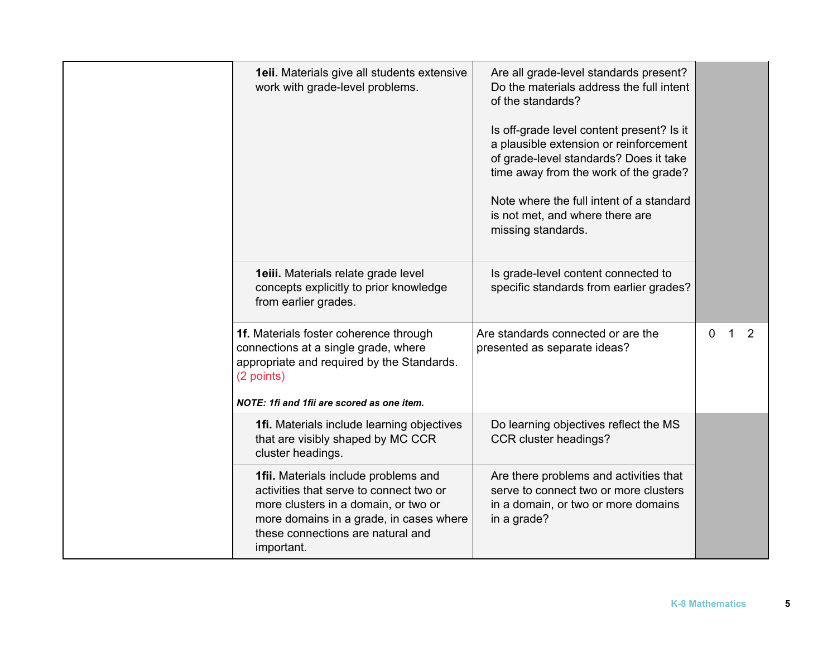| 1eii. Materials give all students extensive<br>work with grade-level problems.                                                                                                                                        | Are all grade-level standards present?<br>Do the materials address the full intent<br>of the standards?<br>Is off-grade level content present? Is it<br>a plausible extension or reinforcement<br>of grade-level standards? Does it take<br>time away from the work of the grade?<br>Note where the full intent of a standard<br>is not met, and where there are<br>missing standards. |                                   |
|-----------------------------------------------------------------------------------------------------------------------------------------------------------------------------------------------------------------------|----------------------------------------------------------------------------------------------------------------------------------------------------------------------------------------------------------------------------------------------------------------------------------------------------------------------------------------------------------------------------------------|-----------------------------------|
| 1eiii. Materials relate grade level<br>concepts explicitly to prior knowledge<br>from earlier grades.                                                                                                                 | Is grade-level content connected to<br>specific standards from earlier grades?                                                                                                                                                                                                                                                                                                         |                                   |
| 1f. Materials foster coherence through<br>connections at a single grade, where<br>appropriate and required by the Standards.<br>(2 points)<br>NOTE: 1fi and 1fii are scored as one item.                              | Are standards connected or are the<br>presented as separate ideas?                                                                                                                                                                                                                                                                                                                     | 2<br>$\mathbf{0}$<br>$\mathbf{1}$ |
| 1fi. Materials include learning objectives<br>that are visibly shaped by MC CCR<br>cluster headings.                                                                                                                  | Do learning objectives reflect the MS<br>CCR cluster headings?                                                                                                                                                                                                                                                                                                                         |                                   |
| 1fii. Materials include problems and<br>activities that serve to connect two or<br>more clusters in a domain, or two or<br>more domains in a grade, in cases where<br>these connections are natural and<br>important. | Are there problems and activities that<br>serve to connect two or more clusters<br>in a domain, or two or more domains<br>in a grade?                                                                                                                                                                                                                                                  |                                   |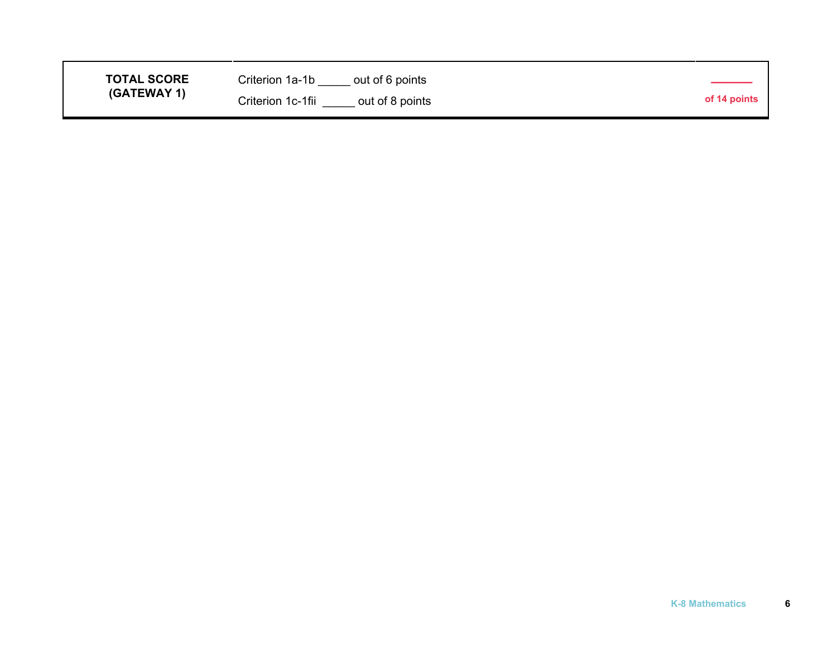| <b>TOTAL SCORE</b> | Criterion 1a-1b<br>out of 6 points   |              |
|--------------------|--------------------------------------|--------------|
| (GATEWAY 1)        | Criterion 1c-1fii<br>out of 8 points | of 14 points |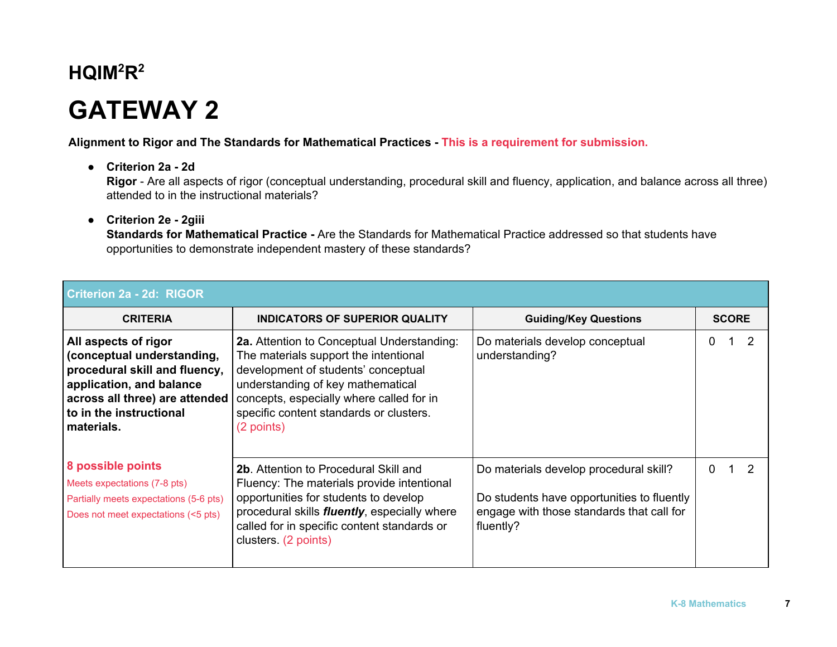# **GATEWAY 2**

**Alignment to Rigor and The Standards for Mathematical Practices - This is a requirement for submission.**

**● Criterion 2a - 2d**

**Rigor** - Are all aspects of rigor (conceptual understanding, procedural skill and fluency, application, and balance across all three) attended to in the instructional materials?

#### **● Criterion 2e - 2giii**

**Standards for Mathematical Practice -** Are the Standards for Mathematical Practice addressed so that students have opportunities to demonstrate independent mastery of these standards?

| <b>Criterion 2a - 2d: RIGOR</b>                                                                                                                                                             |                                                                                                                                                                                                                                                                      |                                                                                                                                                |                           |  |  |
|---------------------------------------------------------------------------------------------------------------------------------------------------------------------------------------------|----------------------------------------------------------------------------------------------------------------------------------------------------------------------------------------------------------------------------------------------------------------------|------------------------------------------------------------------------------------------------------------------------------------------------|---------------------------|--|--|
| <b>CRITERIA</b>                                                                                                                                                                             | <b>INDICATORS OF SUPERIOR QUALITY</b>                                                                                                                                                                                                                                | <b>Guiding/Key Questions</b>                                                                                                                   | <b>SCORE</b>              |  |  |
| All aspects of rigor<br>conceptual understanding,<br>procedural skill and fluency,<br>application, and balance<br>across all three) are attended<br>to in the instructional<br>∣ materials. | 2a. Attention to Conceptual Understanding:<br>The materials support the intentional<br>development of students' conceptual<br>understanding of key mathematical<br>concepts, especially where called for in<br>specific content standards or clusters.<br>(2 points) | Do materials develop conceptual<br>understanding?                                                                                              | $\mathcal{P}$<br>0        |  |  |
| 8 possible points<br>Meets expectations (7-8 pts)<br>Partially meets expectations (5-6 pts)<br>Does not meet expectations (<5 pts)                                                          | <b>2b.</b> Attention to Procedural Skill and<br>Fluency: The materials provide intentional<br>opportunities for students to develop<br>procedural skills <i>fluently</i> , especially where<br>called for in specific content standards or<br>clusters. (2 points)   | Do materials develop procedural skill?<br>Do students have opportunities to fluently<br>engage with those standards that call for<br>fluently? | $\mathcal{P}$<br>$\Omega$ |  |  |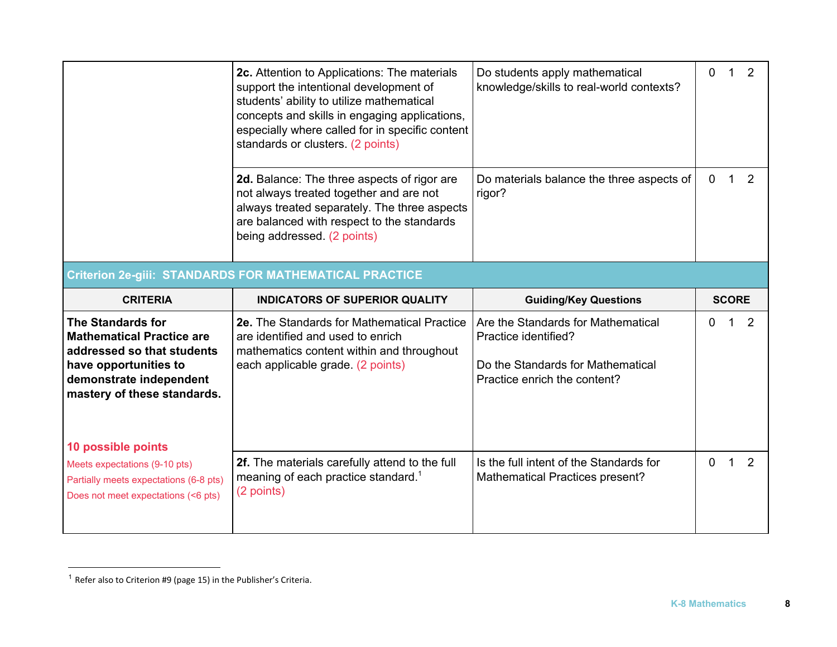|                                                                                                                                                                                                     | 2c. Attention to Applications: The materials<br>support the intentional development of<br>students' ability to utilize mathematical<br>concepts and skills in engaging applications,<br>especially where called for in specific content<br>standards or clusters. (2 points) | Do students apply mathematical<br>knowledge/skills to real-world contexts?                                                      | $\mathbf 0$      |   |
|-----------------------------------------------------------------------------------------------------------------------------------------------------------------------------------------------------|------------------------------------------------------------------------------------------------------------------------------------------------------------------------------------------------------------------------------------------------------------------------------|---------------------------------------------------------------------------------------------------------------------------------|------------------|---|
|                                                                                                                                                                                                     | 2d. Balance: The three aspects of rigor are<br>not always treated together and are not<br>always treated separately. The three aspects<br>are balanced with respect to the standards<br>being addressed. (2 points)                                                          | Do materials balance the three aspects of<br>rigor?                                                                             | $\mathbf 0$<br>1 | 2 |
|                                                                                                                                                                                                     | <b>Criterion 2e-gili: STANDARDS FOR MATHEMATICAL PRACTICE</b>                                                                                                                                                                                                                |                                                                                                                                 |                  |   |
|                                                                                                                                                                                                     |                                                                                                                                                                                                                                                                              |                                                                                                                                 |                  |   |
| <b>CRITERIA</b>                                                                                                                                                                                     | <b>INDICATORS OF SUPERIOR QUALITY</b>                                                                                                                                                                                                                                        | <b>Guiding/Key Questions</b>                                                                                                    | <b>SCORE</b>     |   |
| <b>The Standards for</b><br><b>Mathematical Practice are</b><br>addressed so that students<br>have opportunities to<br>demonstrate independent<br>mastery of these standards.<br>10 possible points | 2e. The Standards for Mathematical Practice<br>are identified and used to enrich<br>mathematics content within and throughout<br>each applicable grade. (2 points)                                                                                                           | Are the Standards for Mathematical<br>Practice identified?<br>Do the Standards for Mathematical<br>Practice enrich the content? | 0                | 2 |

 $1$  Refer also to Criterion #9 (page 15) in the Publisher's Criteria.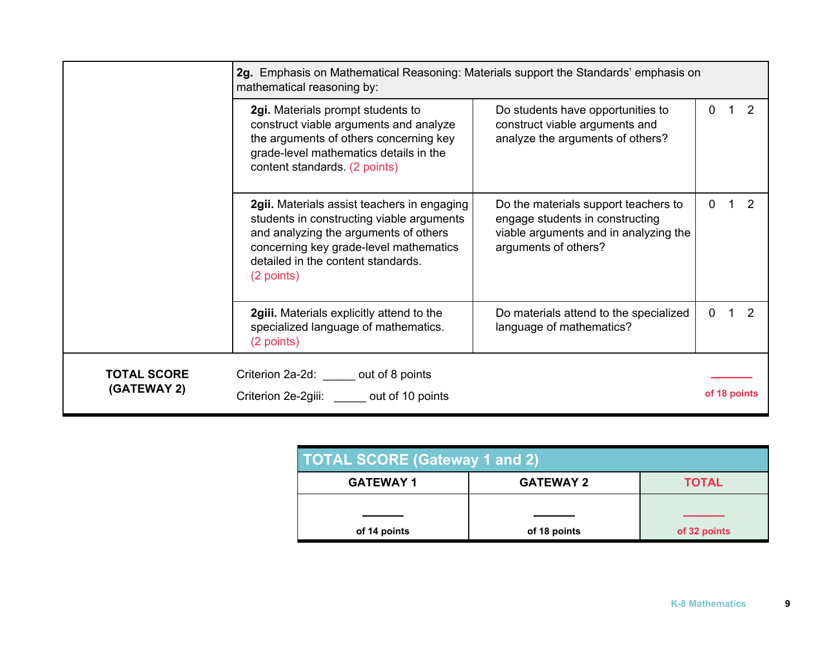|                                   | 2g. Emphasis on Mathematical Reasoning: Materials support the Standards' emphasis on<br>mathematical reasoning by:                                                                                                              |                                                                                                                                          |          |              |
|-----------------------------------|---------------------------------------------------------------------------------------------------------------------------------------------------------------------------------------------------------------------------------|------------------------------------------------------------------------------------------------------------------------------------------|----------|--------------|
|                                   | 2gi. Materials prompt students to<br>construct viable arguments and analyze<br>the arguments of others concerning key<br>grade-level mathematics details in the<br>content standards. (2 points)                                | Do students have opportunities to<br>construct viable arguments and<br>analyze the arguments of others?                                  | $\Omega$ |              |
|                                   | 2gii. Materials assist teachers in engaging<br>students in constructing viable arguments<br>and analyzing the arguments of others<br>concerning key grade-level mathematics<br>detailed in the content standards.<br>(2 points) | Do the materials support teachers to<br>engage students in constructing<br>viable arguments and in analyzing the<br>arguments of others? | 0        |              |
|                                   | 2giii. Materials explicitly attend to the<br>specialized language of mathematics.<br>(2 points)                                                                                                                                 | Do materials attend to the specialized<br>language of mathematics?                                                                       | 0        |              |
| <b>TOTAL SCORE</b><br>(GATEWAY 2) | Criterion 2a-2d: out of 8 points<br>Criterion 2e-2giii: out of 10 points                                                                                                                                                        |                                                                                                                                          |          | of 18 points |

| <b>TOTAL SCORE (Gateway 1 and 2)</b> |                  |              |  |  |
|--------------------------------------|------------------|--------------|--|--|
| <b>GATEWAY 1</b>                     | <b>GATEWAY 2</b> | <b>TOTAL</b> |  |  |
|                                      |                  |              |  |  |
| of 14 points                         | of 18 points     | of 32 points |  |  |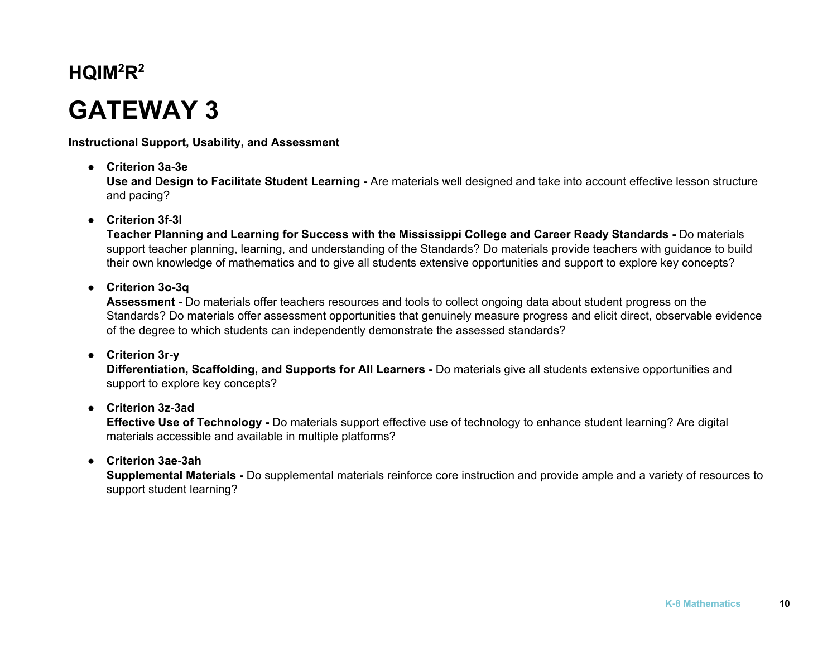# **GATEWAY 3**

**Instructional Support, Usability, and Assessment**

**● Criterion 3a-3e**

**Use and Design to Facilitate Student Learning -** Are materials well designed and take into account effective lesson structure and pacing?

### **● Criterion 3f-3l**

**Teacher Planning and Learning for Success with the Mississippi College and Career Ready Standards -** Do materials support teacher planning, learning, and understanding of the Standards? Do materials provide teachers with guidance to build their own knowledge of mathematics and to give all students extensive opportunities and support to explore key concepts?

**● Criterion 3o-3q**

**Assessment -** Do materials offer teachers resources and tools to collect ongoing data about student progress on the Standards? Do materials offer assessment opportunities that genuinely measure progress and elicit direct, observable evidence of the degree to which students can independently demonstrate the assessed standards?

#### **● Criterion 3r-y**

**Differentiation, Scaffolding, and Supports for All Learners -** Do materials give all students extensive opportunities and support to explore key concepts?

### **● Criterion 3z-3ad**

**Effective Use of Technology -** Do materials support effective use of technology to enhance student learning? Are digital materials accessible and available in multiple platforms?

### **● Criterion 3ae-3ah**

**Supplemental Materials -** Do supplemental materials reinforce core instruction and provide ample and a variety of resources to support student learning?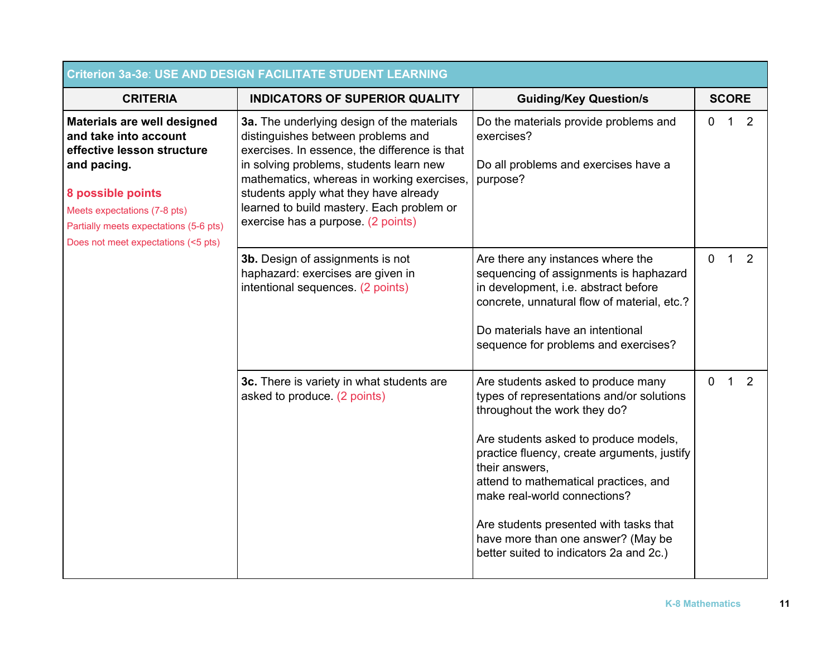| <b>Criterion 3a-3e: USE AND DESIGN FACILITATE STUDENT LEARNING</b>                                                                                                                                                                      |                                                                                                                                                                                                                                                                                                                                                        |                                                                                                                                                                                                                                                                                                                                                                                                                               |              |              |   |  |
|-----------------------------------------------------------------------------------------------------------------------------------------------------------------------------------------------------------------------------------------|--------------------------------------------------------------------------------------------------------------------------------------------------------------------------------------------------------------------------------------------------------------------------------------------------------------------------------------------------------|-------------------------------------------------------------------------------------------------------------------------------------------------------------------------------------------------------------------------------------------------------------------------------------------------------------------------------------------------------------------------------------------------------------------------------|--------------|--------------|---|--|
| <b>CRITERIA</b>                                                                                                                                                                                                                         | <b>INDICATORS OF SUPERIOR QUALITY</b>                                                                                                                                                                                                                                                                                                                  | <b>Guiding/Key Question/s</b>                                                                                                                                                                                                                                                                                                                                                                                                 |              | <b>SCORE</b> |   |  |
| Materials are well designed<br>and take into account<br>effective lesson structure<br>and pacing.<br>8 possible points<br>Meets expectations (7-8 pts)<br>Partially meets expectations (5-6 pts)<br>Does not meet expectations (<5 pts) | 3a. The underlying design of the materials<br>distinguishes between problems and<br>exercises. In essence, the difference is that<br>in solving problems, students learn new<br>mathematics, whereas in working exercises,<br>students apply what they have already<br>learned to build mastery. Each problem or<br>exercise has a purpose. (2 points) | Do the materials provide problems and<br>exercises?<br>Do all problems and exercises have a<br>purpose?                                                                                                                                                                                                                                                                                                                       | $\Omega$     | 1            | 2 |  |
|                                                                                                                                                                                                                                         | 3b. Design of assignments is not<br>haphazard: exercises are given in<br>intentional sequences. (2 points)                                                                                                                                                                                                                                             | Are there any instances where the<br>sequencing of assignments is haphazard<br>in development, i.e. abstract before<br>concrete, unnatural flow of material, etc.?<br>Do materials have an intentional<br>sequence for problems and exercises?                                                                                                                                                                                | $\Omega$     | 1            | 2 |  |
|                                                                                                                                                                                                                                         | 3c. There is variety in what students are<br>asked to produce. (2 points)                                                                                                                                                                                                                                                                              | Are students asked to produce many<br>types of representations and/or solutions<br>throughout the work they do?<br>Are students asked to produce models,<br>practice fluency, create arguments, justify<br>their answers,<br>attend to mathematical practices, and<br>make real-world connections?<br>Are students presented with tasks that<br>have more than one answer? (May be<br>better suited to indicators 2a and 2c.) | $\mathbf{0}$ | 1            | 2 |  |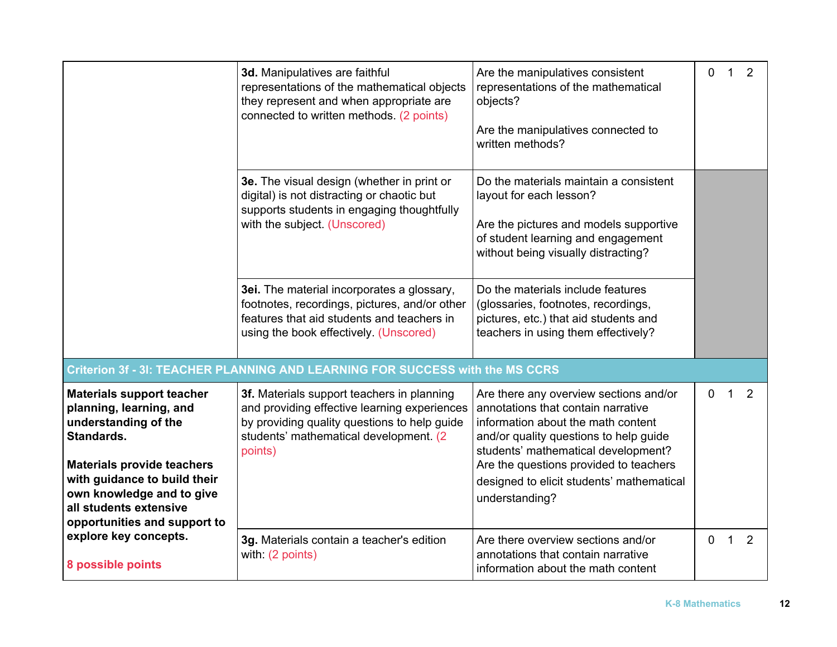|                                                                                                                                                                                                     | 3d. Manipulatives are faithful<br>representations of the mathematical objects<br>they represent and when appropriate are<br>connected to written methods. (2 points)                            | Are the manipulatives consistent<br>representations of the mathematical<br>objects?<br>Are the manipulatives connected to<br>written methods?                                                                                                                                                                | $\overline{0}$ | $\overline{1}$ | 2 |
|-----------------------------------------------------------------------------------------------------------------------------------------------------------------------------------------------------|-------------------------------------------------------------------------------------------------------------------------------------------------------------------------------------------------|--------------------------------------------------------------------------------------------------------------------------------------------------------------------------------------------------------------------------------------------------------------------------------------------------------------|----------------|----------------|---|
|                                                                                                                                                                                                     | 3e. The visual design (whether in print or<br>digital) is not distracting or chaotic but<br>supports students in engaging thoughtfully<br>with the subject. (Unscored)                          | Do the materials maintain a consistent<br>layout for each lesson?<br>Are the pictures and models supportive<br>of student learning and engagement<br>without being visually distracting?                                                                                                                     |                |                |   |
|                                                                                                                                                                                                     | 3ei. The material incorporates a glossary,<br>footnotes, recordings, pictures, and/or other<br>features that aid students and teachers in<br>using the book effectively. (Unscored)             | Do the materials include features<br>(glossaries, footnotes, recordings,<br>pictures, etc.) that aid students and<br>teachers in using them effectively?                                                                                                                                                     |                |                |   |
|                                                                                                                                                                                                     | Criterion 3f - 3I: TEACHER PLANNING AND LEARNING FOR SUCCESS with the MS CCRS                                                                                                                   |                                                                                                                                                                                                                                                                                                              |                |                |   |
| <b>Materials support teacher</b><br>planning, learning, and<br>understanding of the<br>Standards.<br><b>Materials provide teachers</b><br>with guidance to build their<br>own knowledge and to give | 3f. Materials support teachers in planning<br>and providing effective learning experiences<br>by providing quality questions to help guide<br>students' mathematical development. (2<br>points) | Are there any overview sections and/or<br>annotations that contain narrative<br>information about the math content<br>and/or quality questions to help guide<br>students' mathematical development?<br>Are the questions provided to teachers<br>designed to elicit students' mathematical<br>understanding? | $\mathbf 0$    | $\mathbf{1}$   | 2 |
| all students extensive<br>opportunities and support to                                                                                                                                              |                                                                                                                                                                                                 |                                                                                                                                                                                                                                                                                                              |                |                |   |
| explore key concepts.<br>8 possible points                                                                                                                                                          | 3g. Materials contain a teacher's edition<br>with: (2 points)                                                                                                                                   | Are there overview sections and/or<br>annotations that contain narrative<br>information about the math content                                                                                                                                                                                               | $\overline{0}$ | $\overline{1}$ | 2 |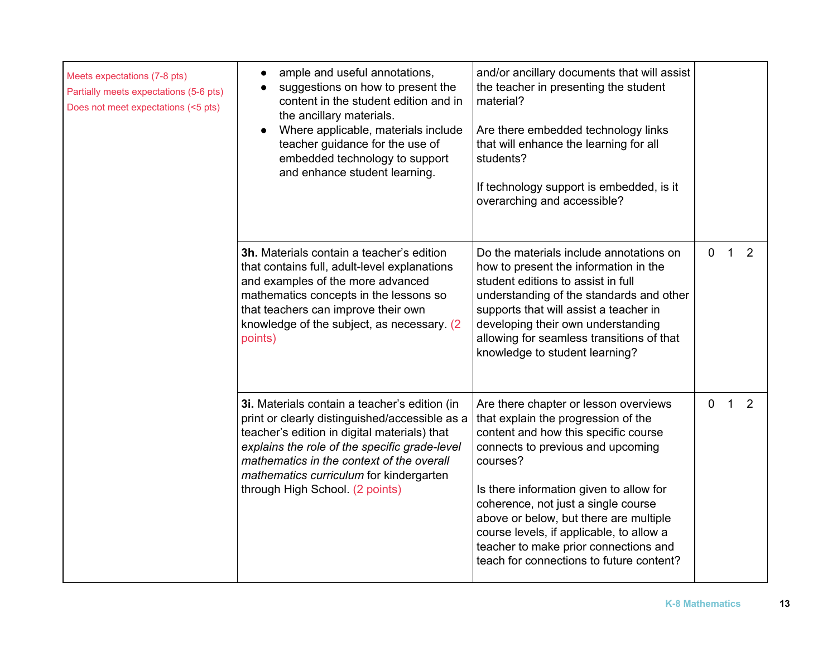| Meets expectations (7-8 pts)<br>Partially meets expectations (5-6 pts)<br>Does not meet expectations (<5 pts) | ample and useful annotations,<br>$\bullet$<br>suggestions on how to present the<br>$\bullet$<br>content in the student edition and in<br>the ancillary materials.<br>Where applicable, materials include<br>teacher guidance for the use of<br>embedded technology to support<br>and enhance student learning.              | and/or ancillary documents that will assist<br>the teacher in presenting the student<br>material?<br>Are there embedded technology links<br>that will enhance the learning for all<br>students?<br>If technology support is embedded, is it<br>overarching and accessible?                                                                                                                                                         |                |              |   |
|---------------------------------------------------------------------------------------------------------------|-----------------------------------------------------------------------------------------------------------------------------------------------------------------------------------------------------------------------------------------------------------------------------------------------------------------------------|------------------------------------------------------------------------------------------------------------------------------------------------------------------------------------------------------------------------------------------------------------------------------------------------------------------------------------------------------------------------------------------------------------------------------------|----------------|--------------|---|
|                                                                                                               | 3h. Materials contain a teacher's edition<br>that contains full, adult-level explanations<br>and examples of the more advanced<br>mathematics concepts in the lessons so<br>that teachers can improve their own<br>knowledge of the subject, as necessary. (2)<br>points)                                                   | Do the materials include annotations on<br>how to present the information in the<br>student editions to assist in full<br>understanding of the standards and other<br>supports that will assist a teacher in<br>developing their own understanding<br>allowing for seamless transitions of that<br>knowledge to student learning?                                                                                                  | $\overline{0}$ | $\mathbf{1}$ | 2 |
|                                                                                                               | 3i. Materials contain a teacher's edition (in<br>print or clearly distinguished/accessible as a<br>teacher's edition in digital materials) that<br>explains the role of the specific grade-level<br>mathematics in the context of the overall<br>mathematics curriculum for kindergarten<br>through High School. (2 points) | Are there chapter or lesson overviews<br>that explain the progression of the<br>content and how this specific course<br>connects to previous and upcoming<br>courses?<br>Is there information given to allow for<br>coherence, not just a single course<br>above or below, but there are multiple<br>course levels, if applicable, to allow a<br>teacher to make prior connections and<br>teach for connections to future content? | 0              | $\mathbf{1}$ | 2 |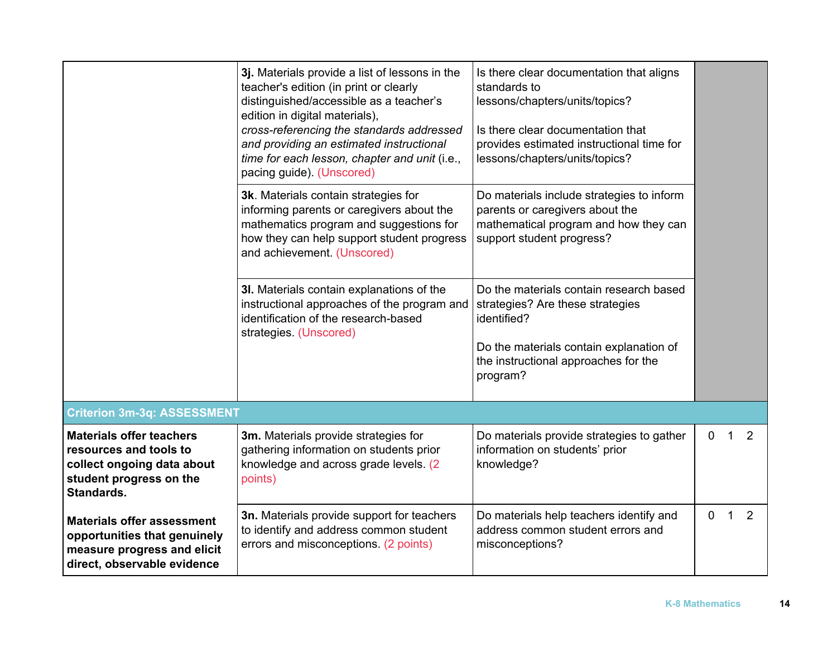|                                                             | 3j. Materials provide a list of lessons in the                                                                | Is there clear documentation that aligns                                       |          |   |   |
|-------------------------------------------------------------|---------------------------------------------------------------------------------------------------------------|--------------------------------------------------------------------------------|----------|---|---|
|                                                             | teacher's edition (in print or clearly                                                                        | standards to                                                                   |          |   |   |
|                                                             | distinguished/accessible as a teacher's<br>edition in digital materials),                                     | lessons/chapters/units/topics?                                                 |          |   |   |
|                                                             | cross-referencing the standards addressed<br>and providing an estimated instructional                         | Is there clear documentation that<br>provides estimated instructional time for |          |   |   |
|                                                             | time for each lesson, chapter and unit (i.e.,<br>pacing guide). (Unscored)                                    | lessons/chapters/units/topics?                                                 |          |   |   |
|                                                             | 3k. Materials contain strategies for                                                                          | Do materials include strategies to inform                                      |          |   |   |
|                                                             | informing parents or caregivers about the<br>mathematics program and suggestions for                          | parents or caregivers about the<br>mathematical program and how they can       |          |   |   |
|                                                             | how they can help support student progress<br>and achievement. (Unscored)                                     | support student progress?                                                      |          |   |   |
|                                                             | 3I. Materials contain explanations of the                                                                     | Do the materials contain research based                                        |          |   |   |
|                                                             | instructional approaches of the program and<br>identification of the research-based<br>strategies. (Unscored) | strategies? Are these strategies<br>identified?                                |          |   |   |
|                                                             |                                                                                                               | Do the materials contain explanation of                                        |          |   |   |
|                                                             |                                                                                                               | the instructional approaches for the<br>program?                               |          |   |   |
|                                                             |                                                                                                               |                                                                                |          |   |   |
| <b>Criterion 3m-3q: ASSESSMENT</b>                          |                                                                                                               |                                                                                |          |   |   |
| <b>Materials offer teachers</b><br>resources and tools to   | 3m. Materials provide strategies for<br>gathering information on students prior                               | Do materials provide strategies to gather<br>information on students' prior    | $\Omega$ | 1 | 2 |
| collect ongoing data about                                  | knowledge and across grade levels. (2)                                                                        | knowledge?                                                                     |          |   |   |
| student progress on the<br>Standards.                       | points)                                                                                                       |                                                                                |          |   |   |
| <b>Materials offer assessment</b>                           | 3n. Materials provide support for teachers                                                                    | Do materials help teachers identify and                                        | $\Omega$ | 1 | 2 |
| opportunities that genuinely<br>measure progress and elicit | to identify and address common student<br>errors and misconceptions. (2 points)                               | address common student errors and<br>misconceptions?                           |          |   |   |
| direct, observable evidence                                 |                                                                                                               |                                                                                |          |   |   |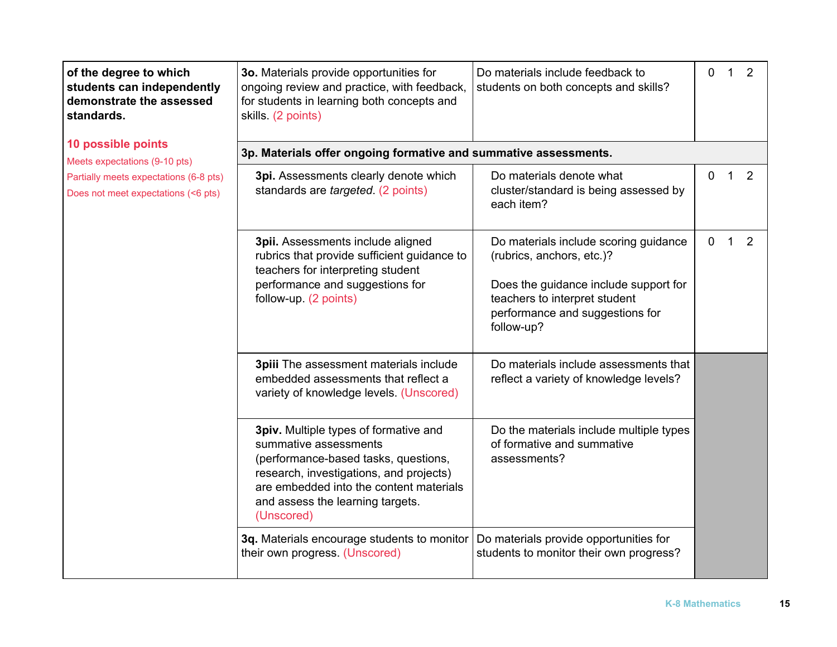| of the degree to which<br>students can independently<br>demonstrate the assessed<br>standards. | 3o. Materials provide opportunities for<br>ongoing review and practice, with feedback,<br>for students in learning both concepts and<br>skills. (2 points)                                                                                     | Do materials include feedback to<br>students on both concepts and skills?                                               | 0            | $\mathbf{1}$ | $\overline{2}$ |  |
|------------------------------------------------------------------------------------------------|------------------------------------------------------------------------------------------------------------------------------------------------------------------------------------------------------------------------------------------------|-------------------------------------------------------------------------------------------------------------------------|--------------|--------------|----------------|--|
| 10 possible points<br>Meets expectations (9-10 pts)                                            | 3p. Materials offer ongoing formative and summative assessments.                                                                                                                                                                               |                                                                                                                         |              |              |                |  |
| Partially meets expectations (6-8 pts)<br>Does not meet expectations (<6 pts)                  | 3pi. Assessments clearly denote which<br>standards are targeted. (2 points)                                                                                                                                                                    | Do materials denote what<br>cluster/standard is being assessed by<br>each item?                                         | 0            | 1            | 2              |  |
|                                                                                                | 3pii. Assessments include aligned<br>rubrics that provide sufficient guidance to<br>teachers for interpreting student                                                                                                                          | Do materials include scoring guidance<br>(rubrics, anchors, etc.)?                                                      | $\mathbf{0}$ | $\mathbf 1$  | $\overline{2}$ |  |
|                                                                                                | performance and suggestions for<br>follow-up. (2 points)                                                                                                                                                                                       | Does the guidance include support for<br>teachers to interpret student<br>performance and suggestions for<br>follow-up? |              |              |                |  |
|                                                                                                | 3piii The assessment materials include<br>embedded assessments that reflect a<br>variety of knowledge levels. (Unscored)                                                                                                                       | Do materials include assessments that<br>reflect a variety of knowledge levels?                                         |              |              |                |  |
|                                                                                                | 3piv. Multiple types of formative and<br>summative assessments<br>(performance-based tasks, questions,<br>research, investigations, and projects)<br>are embedded into the content materials<br>and assess the learning targets.<br>(Unscored) | Do the materials include multiple types<br>of formative and summative<br>assessments?                                   |              |              |                |  |
|                                                                                                | 3q. Materials encourage students to monitor<br>their own progress. (Unscored)                                                                                                                                                                  | Do materials provide opportunities for<br>students to monitor their own progress?                                       |              |              |                |  |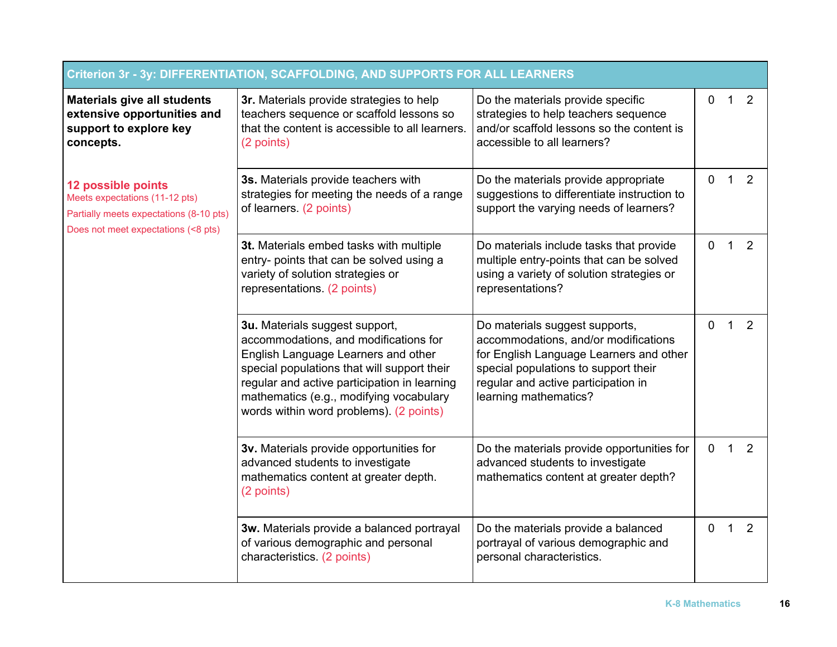| Criterion 3r - 3y: DIFFERENTIATION, SCAFFOLDING, AND SUPPORTS FOR ALL LEARNERS                                                         |                                                                                                                                                                                                                                                                                                     |                                                                                                                                                                                                                           |             |             |   |
|----------------------------------------------------------------------------------------------------------------------------------------|-----------------------------------------------------------------------------------------------------------------------------------------------------------------------------------------------------------------------------------------------------------------------------------------------------|---------------------------------------------------------------------------------------------------------------------------------------------------------------------------------------------------------------------------|-------------|-------------|---|
| <b>Materials give all students</b><br>extensive opportunities and<br>support to explore key<br>concepts.                               | 3r. Materials provide strategies to help<br>teachers sequence or scaffold lessons so<br>that the content is accessible to all learners.<br>(2 points)                                                                                                                                               | Do the materials provide specific<br>0<br>strategies to help teachers sequence<br>and/or scaffold lessons so the content is<br>accessible to all learners?                                                                |             | 1           | 2 |
| 12 possible points<br>Meets expectations (11-12 pts)<br>Partially meets expectations (8-10 pts)<br>Does not meet expectations (<8 pts) | 3s. Materials provide teachers with<br>strategies for meeting the needs of a range<br>of learners. (2 points)                                                                                                                                                                                       | Do the materials provide appropriate<br>suggestions to differentiate instruction to<br>support the varying needs of learners?                                                                                             | 0           | 1           | 2 |
|                                                                                                                                        | 3t. Materials embed tasks with multiple<br>entry- points that can be solved using a<br>variety of solution strategies or<br>representations. (2 points)                                                                                                                                             | Do materials include tasks that provide<br>multiple entry-points that can be solved<br>using a variety of solution strategies or<br>representations?                                                                      | 0           | $\mathbf 1$ | 2 |
|                                                                                                                                        | 3u. Materials suggest support,<br>accommodations, and modifications for<br>English Language Learners and other<br>special populations that will support their<br>regular and active participation in learning<br>mathematics (e.g., modifying vocabulary<br>words within word problems). (2 points) | Do materials suggest supports,<br>accommodations, and/or modifications<br>for English Language Learners and other<br>special populations to support their<br>regular and active participation in<br>learning mathematics? | 0           | $\mathbf 1$ | 2 |
|                                                                                                                                        | 3v. Materials provide opportunities for<br>advanced students to investigate<br>mathematics content at greater depth.<br>(2 points)                                                                                                                                                                  | Do the materials provide opportunities for<br>advanced students to investigate<br>mathematics content at greater depth?                                                                                                   | $\mathbf 0$ | $\mathbf 1$ | 2 |
|                                                                                                                                        | 3w. Materials provide a balanced portrayal<br>of various demographic and personal<br>characteristics (2 points)                                                                                                                                                                                     | Do the materials provide a balanced<br>portrayal of various demographic and<br>personal characteristics.                                                                                                                  | 0           | 1           | 2 |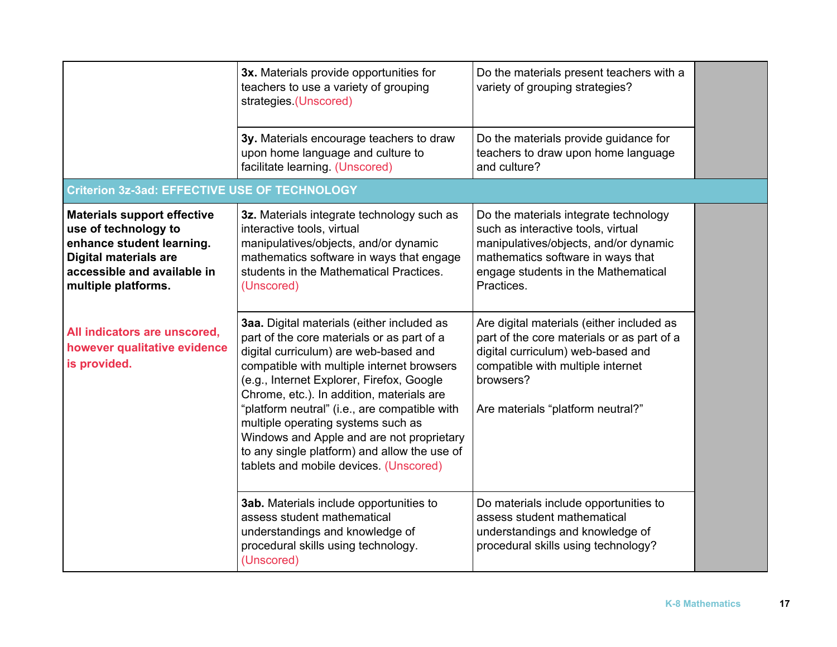|                                                                                                                                                                               | 3x. Materials provide opportunities for<br>teachers to use a variety of grouping<br>strategies (Unscored)                                                                                                                                                                                                                                                                                                                                                                                               | Do the materials present teachers with a<br>variety of grouping strategies?                                                                                                                                         |  |
|-------------------------------------------------------------------------------------------------------------------------------------------------------------------------------|---------------------------------------------------------------------------------------------------------------------------------------------------------------------------------------------------------------------------------------------------------------------------------------------------------------------------------------------------------------------------------------------------------------------------------------------------------------------------------------------------------|---------------------------------------------------------------------------------------------------------------------------------------------------------------------------------------------------------------------|--|
|                                                                                                                                                                               | 3y. Materials encourage teachers to draw<br>upon home language and culture to<br>facilitate learning. (Unscored)                                                                                                                                                                                                                                                                                                                                                                                        | Do the materials provide guidance for<br>teachers to draw upon home language<br>and culture?                                                                                                                        |  |
| <b>Criterion 3z-3ad: EFFECTIVE USE OF TECHNOLOGY</b>                                                                                                                          |                                                                                                                                                                                                                                                                                                                                                                                                                                                                                                         |                                                                                                                                                                                                                     |  |
| <b>Materials support effective</b><br>use of technology to<br>enhance student learning.<br><b>Digital materials are</b><br>accessible and available in<br>multiple platforms. | 3z. Materials integrate technology such as<br>interactive tools, virtual<br>manipulatives/objects, and/or dynamic<br>mathematics software in ways that engage<br>students in the Mathematical Practices.<br>(Unscored)                                                                                                                                                                                                                                                                                  | Do the materials integrate technology<br>such as interactive tools, virtual<br>manipulatives/objects, and/or dynamic<br>mathematics software in ways that<br>engage students in the Mathematical<br>Practices.      |  |
| All indicators are unscored,<br>however qualitative evidence<br>is provided.                                                                                                  | 3aa. Digital materials (either included as<br>part of the core materials or as part of a<br>digital curriculum) are web-based and<br>compatible with multiple internet browsers<br>(e.g., Internet Explorer, Firefox, Google<br>Chrome, etc.). In addition, materials are<br>"platform neutral" (i.e., are compatible with<br>multiple operating systems such as<br>Windows and Apple and are not proprietary<br>to any single platform) and allow the use of<br>tablets and mobile devices. (Unscored) | Are digital materials (either included as<br>part of the core materials or as part of a<br>digital curriculum) web-based and<br>compatible with multiple internet<br>browsers?<br>Are materials "platform neutral?" |  |
|                                                                                                                                                                               | 3ab. Materials include opportunities to<br>assess student mathematical<br>understandings and knowledge of<br>procedural skills using technology.<br>(Unscored)                                                                                                                                                                                                                                                                                                                                          | Do materials include opportunities to<br>assess student mathematical<br>understandings and knowledge of<br>procedural skills using technology?                                                                      |  |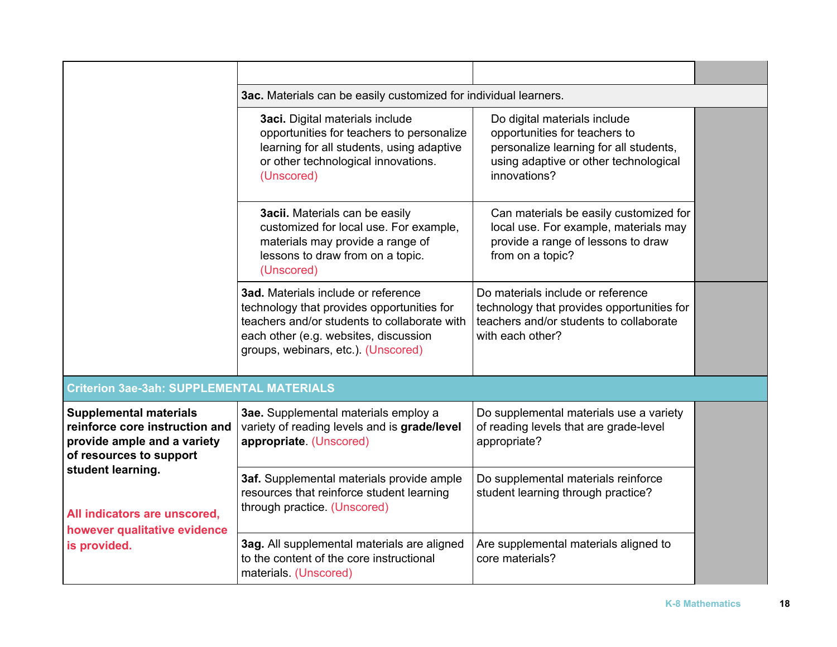|                                                                                                                                                                                                                                | 3ac. Materials can be easily customized for individual learners.                                                                                                                                                  |                                                                                                                                                                  |  |  |  |
|--------------------------------------------------------------------------------------------------------------------------------------------------------------------------------------------------------------------------------|-------------------------------------------------------------------------------------------------------------------------------------------------------------------------------------------------------------------|------------------------------------------------------------------------------------------------------------------------------------------------------------------|--|--|--|
|                                                                                                                                                                                                                                | 3aci. Digital materials include<br>opportunities for teachers to personalize<br>learning for all students, using adaptive<br>or other technological innovations.<br>(Unscored)                                    | Do digital materials include<br>opportunities for teachers to<br>personalize learning for all students,<br>using adaptive or other technological<br>innovations? |  |  |  |
|                                                                                                                                                                                                                                | 3acii. Materials can be easily<br>customized for local use. For example,<br>materials may provide a range of<br>lessons to draw from on a topic.<br>(Unscored)                                                    | Can materials be easily customized for<br>local use. For example, materials may<br>provide a range of lessons to draw<br>from on a topic?                        |  |  |  |
|                                                                                                                                                                                                                                | 3ad. Materials include or reference<br>technology that provides opportunities for<br>teachers and/or students to collaborate with<br>each other (e.g. websites, discussion<br>groups, webinars, etc.). (Unscored) | Do materials include or reference<br>technology that provides opportunities for<br>teachers and/or students to collaborate<br>with each other?                   |  |  |  |
| <b>Criterion 3ae-3ah: SUPPLEMENTAL MATERIALS</b>                                                                                                                                                                               |                                                                                                                                                                                                                   |                                                                                                                                                                  |  |  |  |
| <b>Supplemental materials</b><br>reinforce core instruction and<br>provide ample and a variety<br>of resources to support<br>student learning.<br>All indicators are unscored,<br>however qualitative evidence<br>is provided. | 3ae. Supplemental materials employ a<br>variety of reading levels and is grade/level<br>appropriate. (Unscored)                                                                                                   | Do supplemental materials use a variety<br>of reading levels that are grade-level<br>appropriate?                                                                |  |  |  |
|                                                                                                                                                                                                                                | 3af. Supplemental materials provide ample<br>resources that reinforce student learning<br>through practice. (Unscored)                                                                                            | Do supplemental materials reinforce<br>student learning through practice?                                                                                        |  |  |  |
|                                                                                                                                                                                                                                | 3ag. All supplemental materials are aligned<br>to the content of the core instructional<br>materials (Unscored)                                                                                                   | Are supplemental materials aligned to<br>core materials?                                                                                                         |  |  |  |